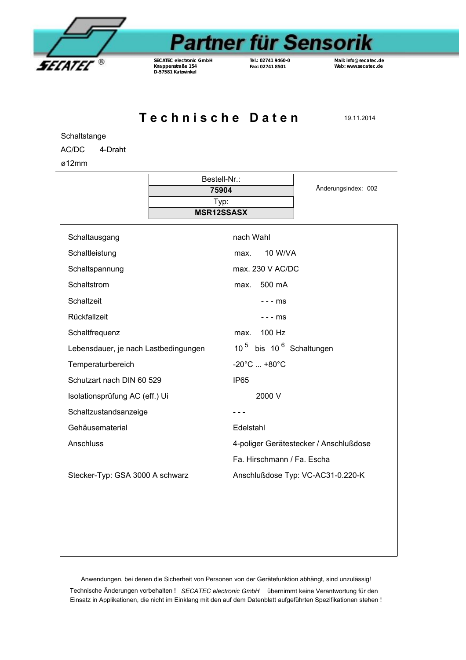

## **Partner für Sensorik**

*SECATEC* **electronic GmbH Knappenstraße 154 D-57581 Katzwinkel**

**Tel.: 02741 9460-0 Fax: 02741 8501**

**Mail: info@secatec.de Web: www.secatec.de**

**Technische Daten** 19.11.2014

**Schaltstange** 

AC/DC 4-Draht

ø12mm

|                                      | Bestell-Nr.:      |                                                 |                     |
|--------------------------------------|-------------------|-------------------------------------------------|---------------------|
|                                      | 75904             |                                                 | Änderungsindex: 002 |
|                                      | Typ:              |                                                 |                     |
|                                      | <b>MSR12SSASX</b> |                                                 |                     |
| Schaltausgang                        |                   | nach Wahl                                       |                     |
| Schaltleistung                       |                   | 10 W/VA<br>max.                                 |                     |
| Schaltspannung                       |                   | max. 230 V AC/DC                                |                     |
| Schaltstrom                          |                   | 500 mA<br>max.                                  |                     |
| Schaltzeit                           |                   | $--ms$                                          |                     |
| Rückfallzeit                         |                   | $--ms$                                          |                     |
| Schaltfrequenz                       |                   | 100 Hz<br>max.                                  |                     |
| Lebensdauer, je nach Lastbedingungen |                   | 10 <sup>5</sup> bis 10 <sup>6</sup> Schaltungen |                     |
| Temperaturbereich                    |                   | $-20^{\circ}$ C $+80^{\circ}$ C                 |                     |
| Schutzart nach DIN 60 529            |                   | <b>IP65</b>                                     |                     |
| Isolationsprüfung AC (eff.) Ui       |                   | 2000 V                                          |                     |
| Schaltzustandsanzeige                |                   |                                                 |                     |
| Gehäusematerial                      |                   | Edelstahl                                       |                     |
| Anschluss                            |                   | 4-poliger Gerätestecker / Anschlußdose          |                     |
|                                      |                   | Fa. Hirschmann / Fa. Escha                      |                     |
| Stecker-Typ: GSA 3000 A schwarz      |                   | Anschlußdose Typ: VC-AC31-0.220-K               |                     |
|                                      |                   |                                                 |                     |
|                                      |                   |                                                 |                     |
|                                      |                   |                                                 |                     |
|                                      |                   |                                                 |                     |
|                                      |                   |                                                 |                     |

Anwendungen, bei denen die Sicherheit von Personen von der Gerätefunktion abhängt, sind unzulässig!

Technische Änderungen vorbehalten ! *SECATEC electronic GmbH* übernimmt keine Verantwortung für den Einsatz in Applikationen, die nicht im Einklang mit den auf dem Datenblatt aufgeführten Spezifikationen stehen !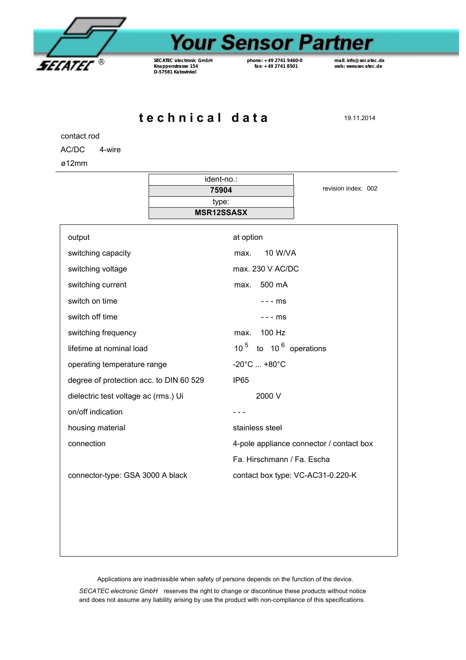

## **Your Sensor Partner**

*SECATEC* **electronic GmbH Knappenstrasse 154 D-57581 Katzwinkel**

**phone: +49 2741 9460-0 fax: +49 2741 8501**

**mail: info@secatec.de web: www.secatec.de**

**t e c h n i c a l d a t a** 19.11.2014

contact rod

AC/DC 4-wire

ø12mm

|                                         | ident-no.:                 |                                          |  |
|-----------------------------------------|----------------------------|------------------------------------------|--|
|                                         | 75904                      | revision index: 002                      |  |
|                                         | type:<br><b>MSR12SSASX</b> |                                          |  |
|                                         |                            |                                          |  |
| output                                  |                            | at option                                |  |
| switching capacity                      |                            | 10 W/VA<br>max.                          |  |
| switching voltage                       |                            | max. 230 V AC/DC                         |  |
| switching current                       |                            | 500 mA<br>max.                           |  |
| switch on time                          |                            | - - - ms                                 |  |
| switch off time                         |                            | - - - ms                                 |  |
| switching frequency                     |                            | 100 Hz<br>max.                           |  |
| lifetime at nominal load                |                            | 10 $5$ to 10 $6$ operations              |  |
| operating temperature range             |                            | $-20^{\circ}$ C $+80^{\circ}$ C          |  |
| degree of protection acc. to DIN 60 529 |                            | <b>IP65</b>                              |  |
| dielectric test voltage ac (rms.) Ui    |                            | 2000 V                                   |  |
| on/off indication                       |                            | - - -                                    |  |
| housing material                        |                            | stainless steel                          |  |
| connection                              |                            | 4-pole appliance connector / contact box |  |
|                                         |                            | Fa. Hirschmann / Fa. Escha               |  |
| connector-type: GSA 3000 A black        |                            | contact box type: VC-AC31-0.220-K        |  |
|                                         |                            |                                          |  |
|                                         |                            |                                          |  |
|                                         |                            |                                          |  |
|                                         |                            |                                          |  |

Applications are inadmissible when safety of persons depends on the function of the device.

*SECATEC electronic GmbH* reserves the right to change or discontinue these products without notice and does not assume any liability arising by use the product with non-compliance of this specifications.